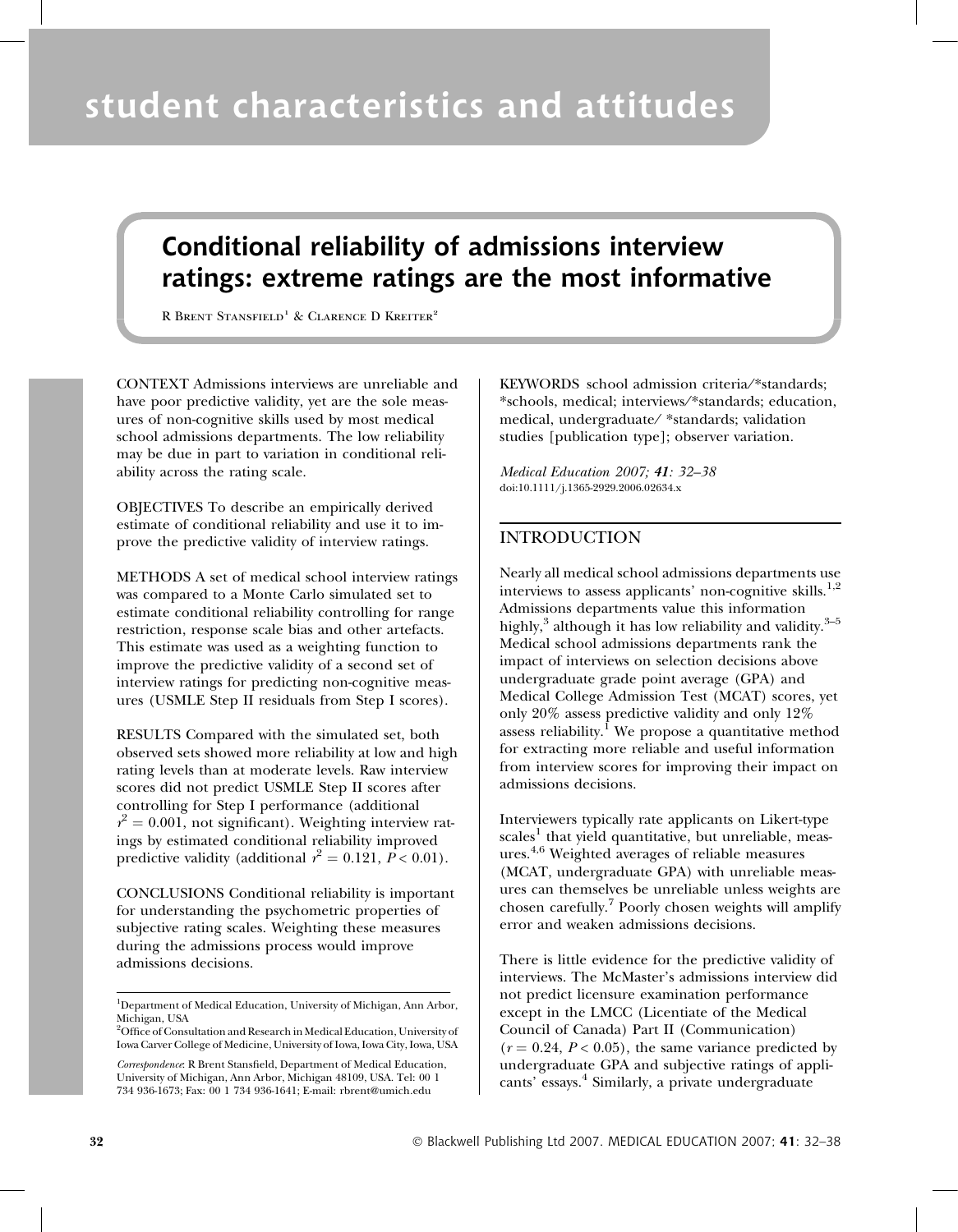# Conditional reliability of admissions interview ratings: extreme ratings are the most informative

R BRENT STANSFIELD<sup>1</sup> & CLARENCE D KREITER<sup>2</sup>

CONTEXT Admissions interviews are unreliable and have poor predictive validity, yet are the sole measures of non-cognitive skills used by most medical school admissions departments. The low reliability may be due in part to variation in conditional reliability across the rating scale.

OBJECTIVES To describe an empirically derived estimate of conditional reliability and use it to improve the predictive validity of interview ratings.

METHODS A set of medical school interview ratings was compared to a Monte Carlo simulated set to estimate conditional reliability controlling for range restriction, response scale bias and other artefacts. This estimate was used as a weighting function to improve the predictive validity of a second set of interview ratings for predicting non-cognitive measures (USMLE Step II residuals from Step I scores).

RESULTS Compared with the simulated set, both observed sets showed more reliability at low and high rating levels than at moderate levels. Raw interview scores did not predict USMLE Step II scores after controlling for Step I performance (additional  $r^2 = 0.001$ , not significant). Weighting interview ratings by estimated conditional reliability improved predictive validity (additional  $r^2 = 0.121, P < 0.01$ ).

CONCLUSIONS Conditional reliability is important for understanding the psychometric properties of subjective rating scales. Weighting these measures during the admissions process would improve admissions decisions.

KEYWORDS school admission criteria/\*standards; \*schools, medical; interviews⁄ \*standards; education, medical, undergraduate/ \*standards; validation studies [publication type]; observer variation.

Medical Education 2007; 41: 32–38 doi:10.1111/j.1365-2929.2006.02634.x

## INTRODUCTION

Nearly all medical school admissions departments use interviews to assess applicants' non-cognitive skills.<sup>1,2</sup> Admissions departments value this information highly, $3$  although it has low reliability and validity. $3-5$ Medical school admissions departments rank the impact of interviews on selection decisions above undergraduate grade point average (GPA) and Medical College Admission Test (MCAT) scores, yet only 20% assess predictive validity and only 12% assess reliability.<sup>1</sup> We propose a quantitative method for extracting more reliable and useful information from interview scores for improving their impact on admissions decisions.

Interviewers typically rate applicants on Likert-type scales<sup>1</sup> that yield quantitative, but unreliable, measures.4,6 Weighted averages of reliable measures (MCAT, undergraduate GPA) with unreliable measures can themselves be unreliable unless weights are chosen carefully.<sup>7</sup> Poorly chosen weights will amplify error and weaken admissions decisions.

There is little evidence for the predictive validity of interviews. The McMaster's admissions interview did not predict licensure examination performance except in the LMCC (Licentiate of the Medical Council of Canada) Part II (Communication)  $(r = 0.24, P < 0.05)$ , the same variance predicted by undergraduate GPA and subjective ratings of applicants' essays.4 Similarly, a private undergraduate

<sup>&</sup>lt;sup>1</sup>Department of Medical Education, University of Michigan, Ann Arbor, Michigan, USA

<sup>&</sup>lt;sup>2</sup>Office of Consultation and Research in Medical Education, University of Iowa Carver College of Medicine, University of Iowa, Iowa City, Iowa, USA

Correspondence: R Brent Stansfield, Department of Medical Education, University of Michigan, Ann Arbor, Michigan 48109, USA. Tel: 00 1 734 936-1673; Fax: 00 1 734 936-1641; E-mail: rbrent@umich.edu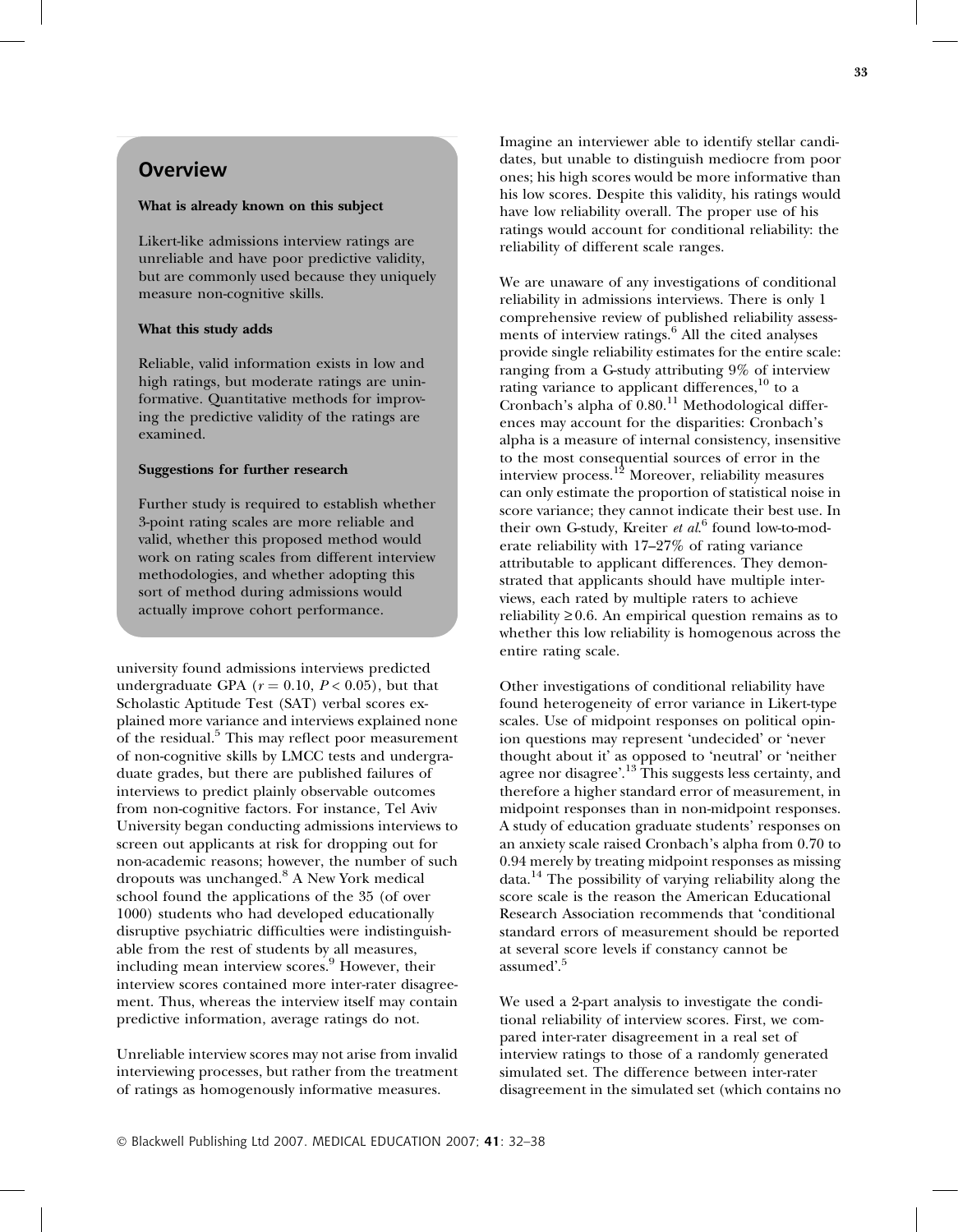## **Overview**

#### What is already known on this subject

Likert-like admissions interview ratings are unreliable and have poor predictive validity, but are commonly used because they uniquely measure non-cognitive skills.

#### What this study adds

Reliable, valid information exists in low and high ratings, but moderate ratings are uninformative. Quantitative methods for improving the predictive validity of the ratings are examined.

#### Suggestions for further research

Further study is required to establish whether 3-point rating scales are more reliable and valid, whether this proposed method would work on rating scales from different interview methodologies, and whether adopting this sort of method during admissions would actually improve cohort performance.

university found admissions interviews predicted undergraduate GPA ( $r = 0.10, P < 0.05$ ), but that Scholastic Aptitude Test (SAT) verbal scores explained more variance and interviews explained none of the residual.<sup>5</sup> This may reflect poor measurement of non-cognitive skills by LMCC tests and undergraduate grades, but there are published failures of interviews to predict plainly observable outcomes from non-cognitive factors. For instance, Tel Aviv University began conducting admissions interviews to screen out applicants at risk for dropping out for non-academic reasons; however, the number of such dropouts was unchanged.<sup>8</sup> A New York medical school found the applications of the 35 (of over 1000) students who had developed educationally disruptive psychiatric difficulties were indistinguishable from the rest of students by all measures, including mean interview scores.<sup>9</sup> However, their interview scores contained more inter-rater disagreement. Thus, whereas the interview itself may contain predictive information, average ratings do not.

Unreliable interview scores may not arise from invalid interviewing processes, but rather from the treatment of ratings as homogenously informative measures.

Imagine an interviewer able to identify stellar candidates, but unable to distinguish mediocre from poor ones; his high scores would be more informative than his low scores. Despite this validity, his ratings would have low reliability overall. The proper use of his ratings would account for conditional reliability: the reliability of different scale ranges.

We are unaware of any investigations of conditional reliability in admissions interviews. There is only 1 comprehensive review of published reliability assessments of interview ratings. $6$  All the cited analyses provide single reliability estimates for the entire scale: ranging from a G-study attributing 9% of interview rating variance to applicant differences, $^{10}$  to a Cronbach's alpha of  $0.80$ .<sup>11</sup> Methodological differences may account for the disparities: Cronbach's alpha is a measure of internal consistency, insensitive to the most consequential sources of error in the interview process.<sup>12</sup> Moreover, reliability measures can only estimate the proportion of statistical noise in score variance; they cannot indicate their best use. In their own G-study, Kreiter et al.<sup>6</sup> found low-to-moderate reliability with 17–27% of rating variance attributable to applicant differences. They demonstrated that applicants should have multiple interviews, each rated by multiple raters to achieve reliability  $\geq 0.6$ . An empirical question remains as to whether this low reliability is homogenous across the entire rating scale.

Other investigations of conditional reliability have found heterogeneity of error variance in Likert-type scales. Use of midpoint responses on political opinion questions may represent 'undecided' or 'never thought about it' as opposed to 'neutral' or 'neither agree nor disagree'.<sup>13</sup> This suggests less certainty, and therefore a higher standard error of measurement, in midpoint responses than in non-midpoint responses. A study of education graduate students' responses on an anxiety scale raised Cronbach's alpha from 0.70 to 0.94 merely by treating midpoint responses as missing data.<sup>14</sup> The possibility of varying reliability along the score scale is the reason the American Educational Research Association recommends that 'conditional standard errors of measurement should be reported at several score levels if constancy cannot be assumed. 5

We used a 2-part analysis to investigate the conditional reliability of interview scores. First, we compared inter-rater disagreement in a real set of interview ratings to those of a randomly generated simulated set. The difference between inter-rater disagreement in the simulated set (which contains no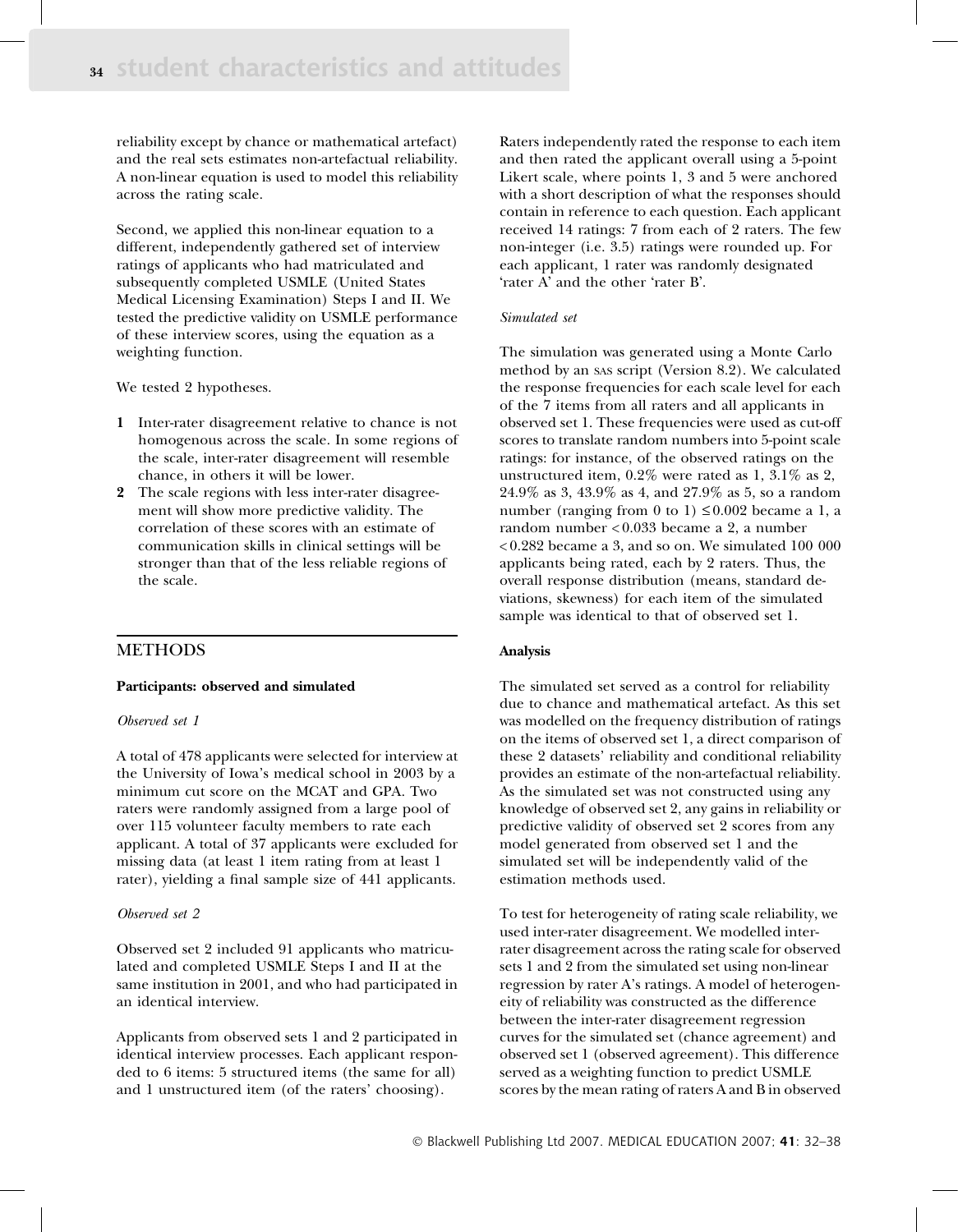reliability except by chance or mathematical artefact) and the real sets estimates non-artefactual reliability. A non-linear equation is used to model this reliability across the rating scale.

Second, we applied this non-linear equation to a different, independently gathered set of interview ratings of applicants who had matriculated and subsequently completed USMLE (United States Medical Licensing Examination) Steps I and II. We tested the predictive validity on USMLE performance of these interview scores, using the equation as a weighting function.

We tested 2 hypotheses.

- 1 Inter-rater disagreement relative to chance is not homogenous across the scale. In some regions of the scale, inter-rater disagreement will resemble chance, in others it will be lower.
- 2 The scale regions with less inter-rater disagreement will show more predictive validity. The correlation of these scores with an estimate of communication skills in clinical settings will be stronger than that of the less reliable regions of the scale.

## METHODS

#### Participants: observed and simulated

#### Observed set 1

A total of 478 applicants were selected for interview at the University of Iowa's medical school in 2003 by a minimum cut score on the MCAT and GPA. Two raters were randomly assigned from a large pool of over 115 volunteer faculty members to rate each applicant. A total of 37 applicants were excluded for missing data (at least 1 item rating from at least 1 rater), yielding a final sample size of 441 applicants.

#### Observed set 2

Observed set 2 included 91 applicants who matriculated and completed USMLE Steps I and II at the same institution in 2001, and who had participated in an identical interview.

Applicants from observed sets 1 and 2 participated in identical interview processes. Each applicant responded to 6 items: 5 structured items (the same for all) and 1 unstructured item (of the raters' choosing).

Raters independently rated the response to each item and then rated the applicant overall using a 5-point Likert scale, where points 1, 3 and 5 were anchored with a short description of what the responses should contain in reference to each question. Each applicant received 14 ratings: 7 from each of 2 raters. The few non-integer (i.e. 3.5) ratings were rounded up. For each applicant, 1 rater was randomly designated 'rater A' and the other 'rater B'.

#### Simulated set

The simulation was generated using a Monte Carlo method by an SAS script (Version 8.2). We calculated the response frequencies for each scale level for each of the 7 items from all raters and all applicants in observed set 1. These frequencies were used as cut-off scores to translate random numbers into 5-point scale ratings: for instance, of the observed ratings on the unstructured item, 0.2% were rated as 1, 3.1% as 2, 24.9% as 3, 43.9% as 4, and 27.9% as 5, so a random number (ranging from 0 to 1)  $\leq$  0.002 became a 1, a random number < 0.033 became a 2, a number  $< 0.282$  became a 3, and so on. We simulated 100 000 applicants being rated, each by 2 raters. Thus, the overall response distribution (means, standard deviations, skewness) for each item of the simulated sample was identical to that of observed set 1.

#### Analysis

The simulated set served as a control for reliability due to chance and mathematical artefact. As this set was modelled on the frequency distribution of ratings on the items of observed set 1, a direct comparison of these 2 datasets' reliability and conditional reliability provides an estimate of the non-artefactual reliability. As the simulated set was not constructed using any knowledge of observed set 2, any gains in reliability or predictive validity of observed set 2 scores from any model generated from observed set 1 and the simulated set will be independently valid of the estimation methods used.

To test for heterogeneity of rating scale reliability, we used inter-rater disagreement. We modelled interrater disagreement across the rating scale for observed sets 1 and 2 from the simulated set using non-linear regression by rater A's ratings. A model of heterogeneity of reliability was constructed as the difference between the inter-rater disagreement regression curves for the simulated set (chance agreement) and observed set 1 (observed agreement). This difference served as a weighting function to predict USMLE scores by the mean rating of raters A and B in observed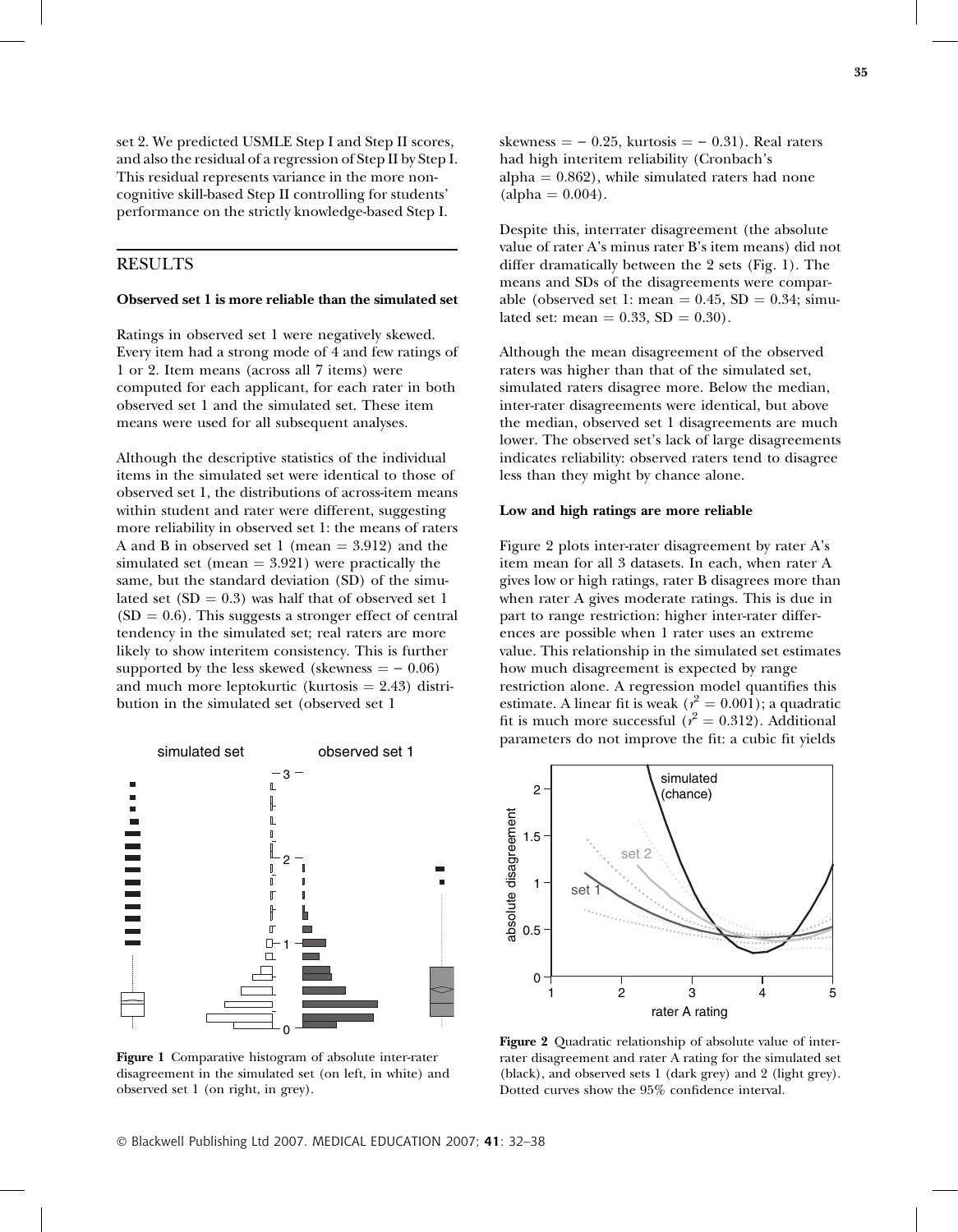set 2. We predicted USMLE Step I and Step II scores, and also the residual of a regression of Step II by Step I. This residual represents variance in the more noncognitive skill-based Step II controlling for students' performance on the strictly knowledge-based Step I.

## **RESULTS**

### Observed set 1 is more reliable than the simulated set

Ratings in observed set 1 were negatively skewed. Every item had a strong mode of 4 and few ratings of 1 or 2. Item means (across all 7 items) were computed for each applicant, for each rater in both observed set 1 and the simulated set. These item means were used for all subsequent analyses.

Although the descriptive statistics of the individual items in the simulated set were identical to those of observed set 1, the distributions of across-item means within student and rater were different, suggesting more reliability in observed set 1: the means of raters A and B in observed set 1 (mean  $= 3.912$ ) and the simulated set (mean  $= 3.921$ ) were practically the same, but the standard deviation (SD) of the simulated set  $(SD = 0.3)$  was half that of observed set 1  $(SD = 0.6)$ . This suggests a stronger effect of central tendency in the simulated set; real raters are more likely to show interitem consistency. This is further supported by the less skewed (skewness  $= -0.06$ ) and much more leptokurtic (kurtosis  $= 2.43$ ) distribution in the simulated set (observed set 1



Figure 1 Comparative histogram of absolute inter-rater disagreement in the simulated set (on left, in white) and observed set 1 (on right, in grey).

skewness  $= -0.25$ , kurtosis  $= -0.31$ ). Real raters had high interitem reliability (Cronbach's alpha  $= 0.862$ ), while simulated raters had none  $(alpha = 0.004).$ 

Despite this, interrater disagreement (the absolute value of rater A's minus rater B's item means) did not differ dramatically between the 2 sets (Fig. 1). The means and SDs of the disagreements were comparable (observed set 1: mean  $= 0.45$ , SD  $= 0.34$ ; simulated set: mean  $= 0.33$ , SD  $= 0.30$ ).

Although the mean disagreement of the observed raters was higher than that of the simulated set, simulated raters disagree more. Below the median, inter-rater disagreements were identical, but above the median, observed set 1 disagreements are much lower. The observed set's lack of large disagreements indicates reliability: observed raters tend to disagree less than they might by chance alone.

#### Low and high ratings are more reliable

Figure 2 plots inter-rater disagreement by rater A's item mean for all 3 datasets. In each, when rater A gives low or high ratings, rater B disagrees more than when rater A gives moderate ratings. This is due in part to range restriction: higher inter-rater differences are possible when 1 rater uses an extreme value. This relationship in the simulated set estimates how much disagreement is expected by range restriction alone. A regression model quantifies this estimate. A linear fit is weak ( $r^2 = 0.001$ ); a quadratic fit is much more successful ( $r^2 = 0.312$ ). Additional parameters do not improve the fit: a cubic fit yields



Figure 2 Quadratic relationship of absolute value of interrater disagreement and rater A rating for the simulated set (black), and observed sets 1 (dark grey) and 2 (light grey). Dotted curves show the 95% confidence interval.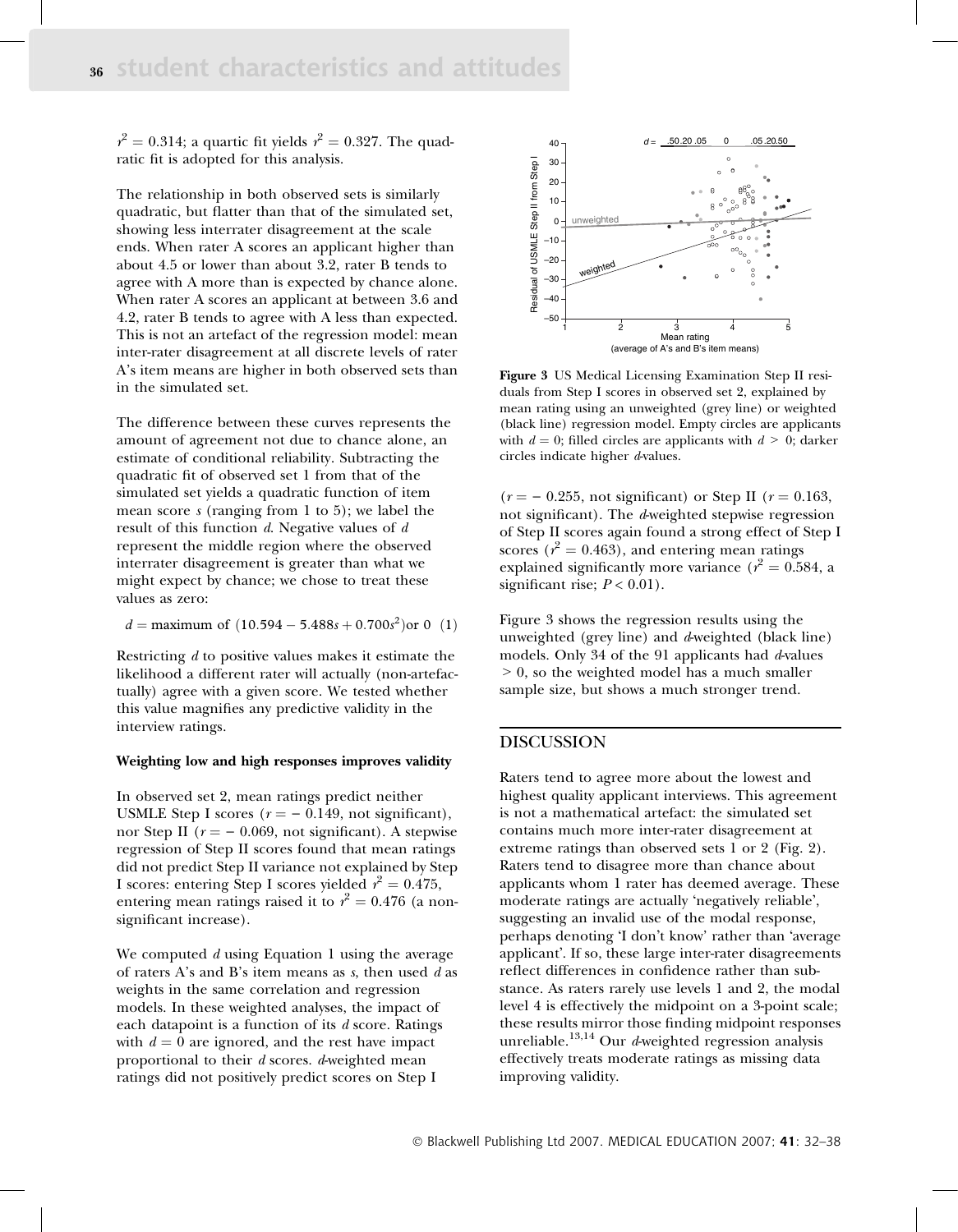$r^2 = 0.314$ ; a quartic fit yields  $r^2 = 0.327$ . The quadratic fit is adopted for this analysis.

The relationship in both observed sets is similarly quadratic, but flatter than that of the simulated set, showing less interrater disagreement at the scale ends. When rater A scores an applicant higher than about 4.5 or lower than about 3.2, rater B tends to agree with A more than is expected by chance alone. When rater A scores an applicant at between 3.6 and 4.2, rater B tends to agree with A less than expected. This is not an artefact of the regression model: mean inter-rater disagreement at all discrete levels of rater A's item means are higher in both observed sets than in the simulated set.

The difference between these curves represents the amount of agreement not due to chance alone, an estimate of conditional reliability. Subtracting the quadratic fit of observed set 1 from that of the simulated set yields a quadratic function of item mean score s (ranging from 1 to 5); we label the result of this function  $d$ . Negative values of  $d$ represent the middle region where the observed interrater disagreement is greater than what we might expect by chance; we chose to treat these values as zero:

$$
d = \text{maximum of } (10.594 - 5.488s + 0.700s^2) \text{ or } 0 \quad (1)
$$

Restricting d to positive values makes it estimate the likelihood a different rater will actually (non-artefactually) agree with a given score. We tested whether this value magnifies any predictive validity in the interview ratings.

#### Weighting low and high responses improves validity

In observed set 2, mean ratings predict neither USMLE Step I scores  $(r = -0.149, \text{ not significant}),$ nor Step II ( $r = -0.069$ , not significant). A stepwise regression of Step II scores found that mean ratings did not predict Step II variance not explained by Step I scores: entering Step I scores yielded  $r^2 = 0.475$ , entering mean ratings raised it to  $r^2 = 0.476$  (a nonsignificant increase).

We computed  $d$  using Equation 1 using the average of raters A's and B's item means as  $s$ , then used  $d$  as weights in the same correlation and regression models. In these weighted analyses, the impact of each datapoint is a function of its d score. Ratings with  $d = 0$  are ignored, and the rest have impact proportional to their d scores. d-weighted mean ratings did not positively predict scores on Step I



Figure 3 US Medical Licensing Examination Step II residuals from Step I scores in observed set 2, explained by mean rating using an unweighted (grey line) or weighted (black line) regression model. Empty circles are applicants with  $d = 0$ ; filled circles are applicants with  $d > 0$ ; darker circles indicate higher d-values.

 $(r = -0.255$ , not significant) or Step II ( $r = 0.163$ , not significant). The d-weighted stepwise regression of Step II scores again found a strong effect of Step I scores  $(r^2 = 0.463)$ , and entering mean ratings explained significantly more variance ( $r^2 = 0.584$ , a significant rise;  $P < 0.01$ ).

Figure 3 shows the regression results using the unweighted (grey line) and  $d$ -weighted (black line) models. Only 34 of the 91 applicants had  $d$ -values  $> 0$ , so the weighted model has a much smaller sample size, but shows a much stronger trend.

### DISCUSSION

Raters tend to agree more about the lowest and highest quality applicant interviews. This agreement is not a mathematical artefact: the simulated set contains much more inter-rater disagreement at extreme ratings than observed sets 1 or 2 (Fig. 2). Raters tend to disagree more than chance about applicants whom 1 rater has deemed average. These moderate ratings are actually 'negatively reliable', suggesting an invalid use of the modal response, perhaps denoting 'I don't know' rather than 'average applicant'. If so, these large inter-rater disagreements reflect differences in confidence rather than substance. As raters rarely use levels 1 and 2, the modal level 4 is effectively the midpoint on a 3-point scale; these results mirror those finding midpoint responses unreliable.<sup>13,14</sup> Our *d*-weighted regression analysis effectively treats moderate ratings as missing data improving validity.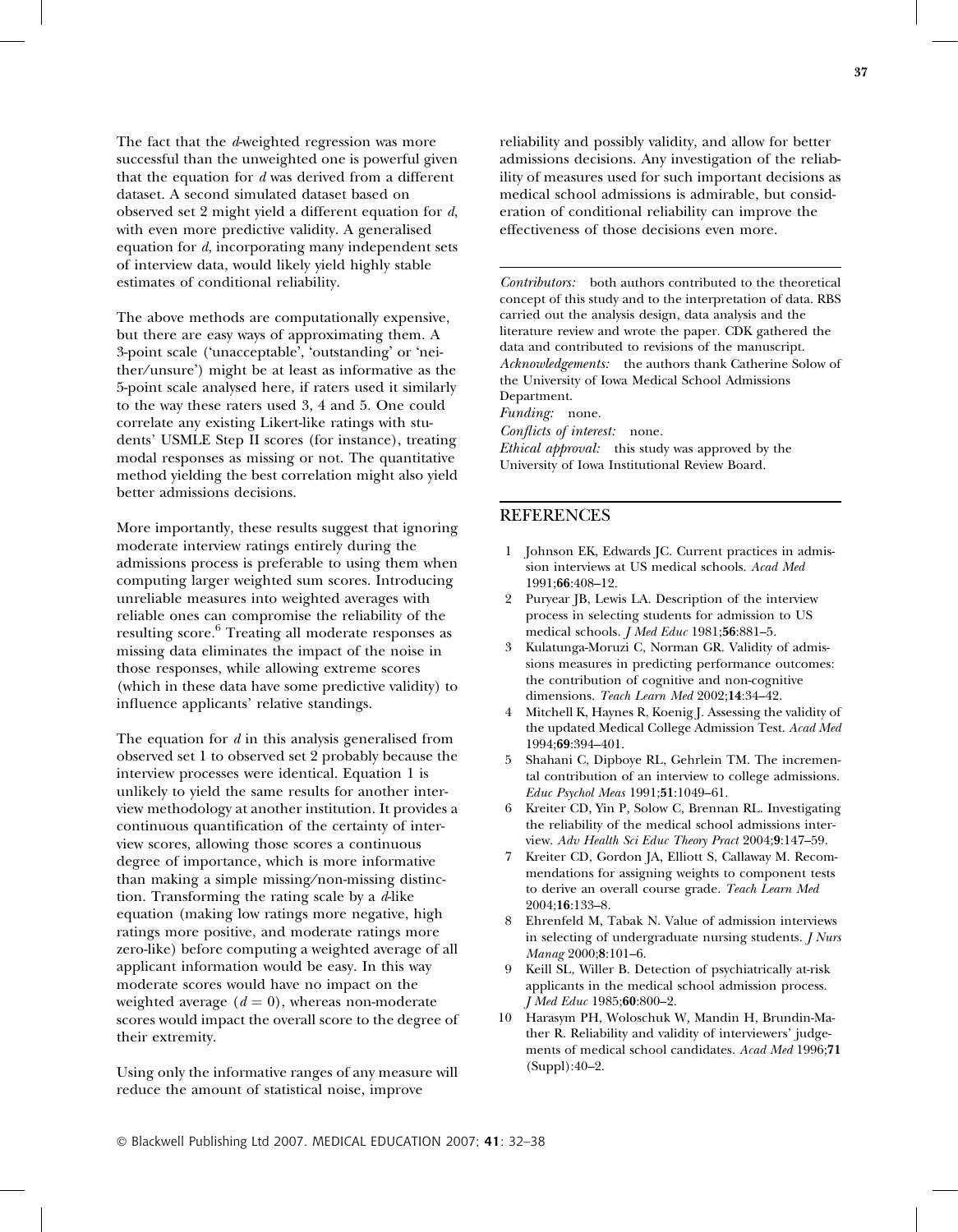The fact that the d-weighted regression was more successful than the unweighted one is powerful given that the equation for  $d$  was derived from a different dataset. A second simulated dataset based on observed set 2 might yield a different equation for d, with even more predictive validity. A generalised equation for d, incorporating many independent sets of interview data, would likely yield highly stable estimates of conditional reliability.

The above methods are computationally expensive, but there are easy ways of approximating them. A 3-point scale ('unacceptable', 'outstanding' or 'neither⁄unsure) might be at least as informative as the 5-point scale analysed here, if raters used it similarly to the way these raters used 3, 4 and 5. One could correlate any existing Likert-like ratings with students' USMLE Step II scores (for instance), treating modal responses as missing or not. The quantitative method yielding the best correlation might also yield better admissions decisions.

More importantly, these results suggest that ignoring moderate interview ratings entirely during the admissions process is preferable to using them when computing larger weighted sum scores. Introducing unreliable measures into weighted averages with reliable ones can compromise the reliability of the resulting score.<sup>6</sup> Treating all moderate responses as missing data eliminates the impact of the noise in those responses, while allowing extreme scores (which in these data have some predictive validity) to influence applicants' relative standings.

The equation for  $d$  in this analysis generalised from observed set 1 to observed set 2 probably because the interview processes were identical. Equation 1 is unlikely to yield the same results for another interview methodology at another institution. It provides a continuous quantification of the certainty of interview scores, allowing those scores a continuous degree of importance, which is more informative than making a simple missing ⁄non-missing distinction. Transforming the rating scale by a  $d$ -like equation (making low ratings more negative, high ratings more positive, and moderate ratings more zero-like) before computing a weighted average of all applicant information would be easy. In this way moderate scores would have no impact on the weighted average  $(d = 0)$ , whereas non-moderate scores would impact the overall score to the degree of their extremity.

Using only the informative ranges of any measure will reduce the amount of statistical noise, improve

reliability and possibly validity, and allow for better admissions decisions. Any investigation of the reliability of measures used for such important decisions as medical school admissions is admirable, but consideration of conditional reliability can improve the effectiveness of those decisions even more.

Contributors: both authors contributed to the theoretical concept of this study and to the interpretation of data. RBS carried out the analysis design, data analysis and the literature review and wrote the paper. CDK gathered the data and contributed to revisions of the manuscript. Acknowledgements: the authors thank Catherine Solow of the University of Iowa Medical School Admissions Department.

Funding: none.

Conflicts of interest: none.

Ethical approval: this study was approved by the University of Iowa Institutional Review Board.

#### **REFERENCES**

- 1 Johnson EK, Edwards JC. Current practices in admission interviews at US medical schools. Acad Med 1991;66:408–12.
- 2 Puryear JB, Lewis LA. Description of the interview process in selecting students for admission to US medical schools. J Med Educ 1981;56:881–5.
- 3 Kulatunga-Moruzi C, Norman GR. Validity of admissions measures in predicting performance outcomes: the contribution of cognitive and non-cognitive dimensions. Teach Learn Med 2002;14:34–42.
- Mitchell K, Haynes R, Koenig J. Assessing the validity of the updated Medical College Admission Test. Acad Med 1994;69:394–401.
- 5 Shahani C, Dipboye RL, Gehrlein TM. The incremental contribution of an interview to college admissions. Educ Psychol Meas 1991;51:1049–61.
- 6 Kreiter CD, Yin P, Solow C, Brennan RL. Investigating the reliability of the medical school admissions interview. Adv Health Sci Educ Theory Pract 2004;9:147–59.
- 7 Kreiter CD, Gordon JA, Elliott S, Callaway M. Recommendations for assigning weights to component tests to derive an overall course grade. Teach Learn Med 2004;16:133–8.
- 8 Ehrenfeld M, Tabak N. Value of admission interviews in selecting of undergraduate nursing students. J Nurs Manag 2000;8:101–6.
- 9 Keill SL, Willer B. Detection of psychiatrically at-risk applicants in the medical school admission process. J Med Educ 1985;60:800–2.
- 10 Harasym PH, Woloschuk W, Mandin H, Brundin-Mather R. Reliability and validity of interviewers' judgements of medical school candidates. Acad Med 1996;71 (Suppl):40–2.